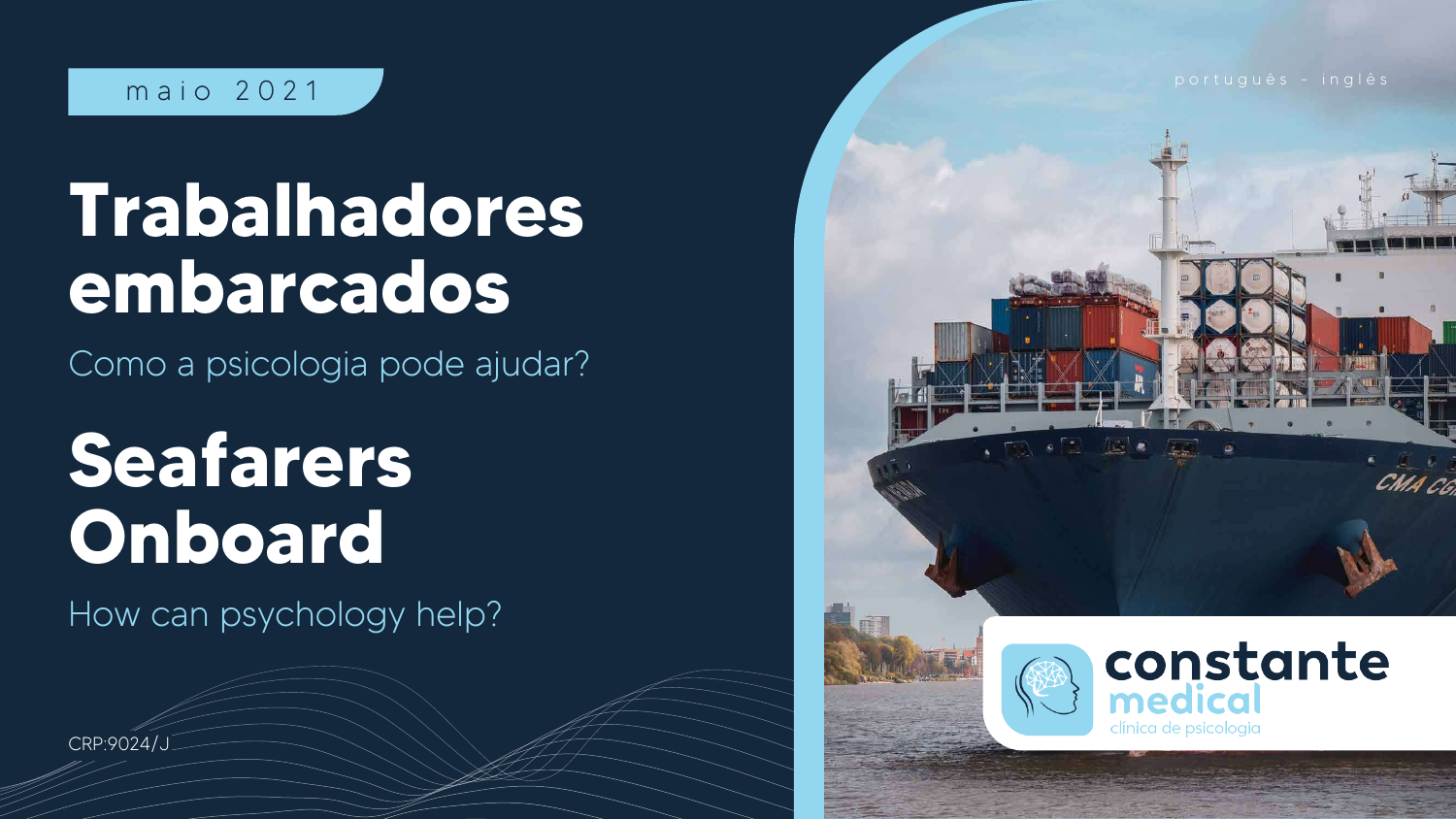# **Trabalhadores embarcados**

Como a psicologia pode ajudar?

# **Seafarers Onboard**

How can psychology help?



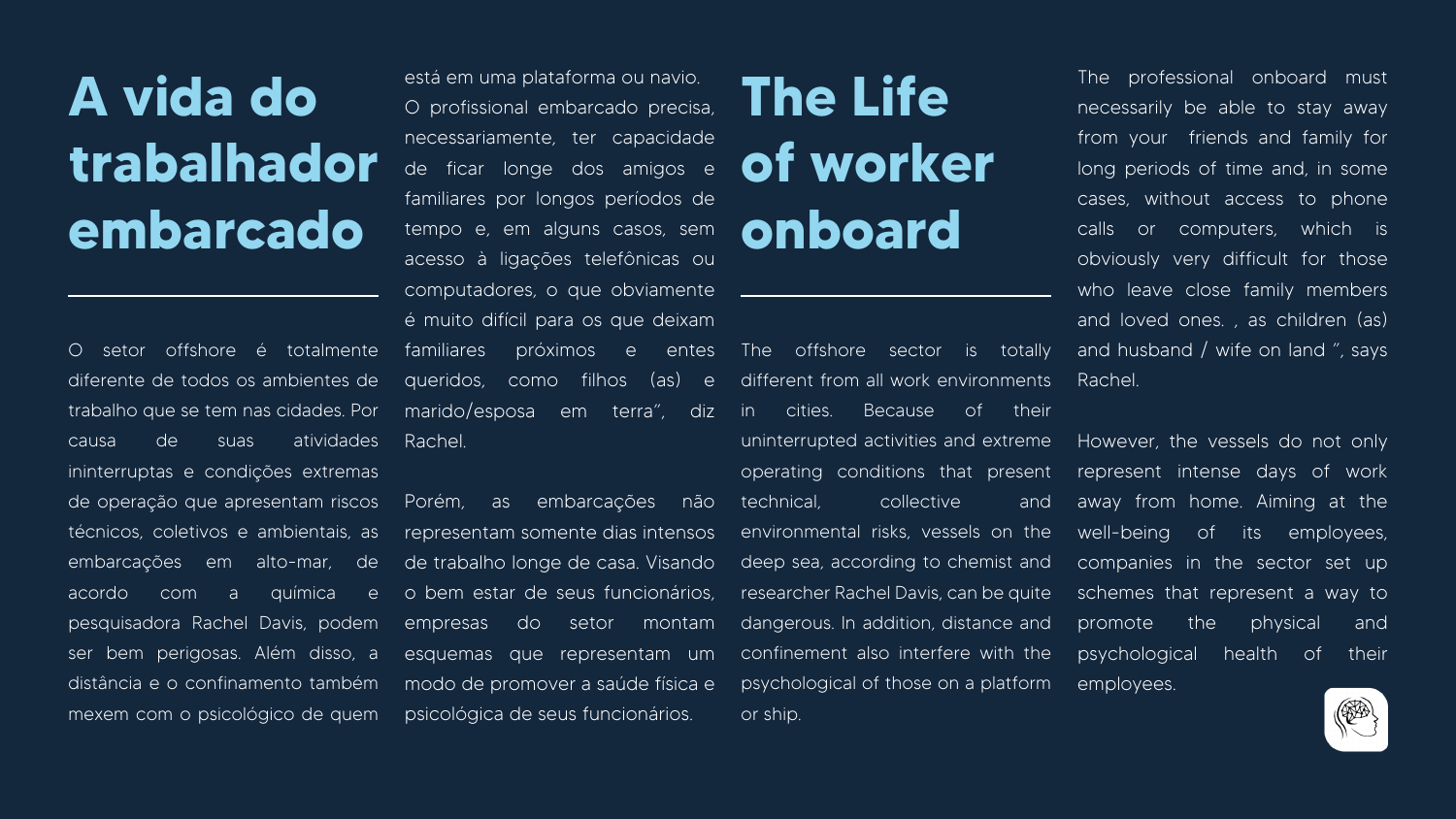## **A vida do trabalhador embarcado**

O setor offshore é totalmente diferente de todos os ambientes de trabalho que se tem nas cidades. Por causa de suas atividades ininterruptas e condições extremas de operação que apresentam riscos técnicos, coletivos e ambientais, as embarcações em alto-mar, de acordo com a química e pesquisadora Rachel Davis, podem ser bem perigosas. Além disso, a distância e o confinamento também mexem com o psicológico de quem

### **The Life of worker onboard**

está em uma plataforma ou navio. O profissional embarcado precisa, necessariamente, ter capacidade de ficar longe dos amigos e familiares por longos períodos de tempo e, em alguns casos, sem acesso à ligações telefônicas ou computadores, o que obviamente é muito difícil para os que deixam familiares próximos e entes

queridos, como filhos (as) e marido/esposa em terra", diz Rachel. Porém, as embarcações não representam somente dias intensos de trabalho longe de casa. Visando o bem estar de seus funcionários, empresas do setor montam esquemas que representam um modo de promover a saúde física e psychological of those on a platform employees. psicológica de seus funcionários. The offshore sector is totally different from all work environments in cities. Because of their uninterrupted activities and extreme operating conditions that present technical, collective and environmental risks, vessels on the deep sea, according to chemist and researcher Rachel Davis, can be quite dangerous. In addition, distance and confinement also interfere with the or ship.

The professional onboard must necessarily be able to stay away from your friends and family for long periods of time and, in some cases, without access to phone calls or computers, which is obviously very difficult for those who leave close family members and loved ones. , as children (as) and husband / wife on land ", says Rachel.

However, the vessels do not only represent intense days of work away from home. Aiming at the well-being of its employees, companies in the sector set up schemes that represent a way to promote the physical and psychological health of their

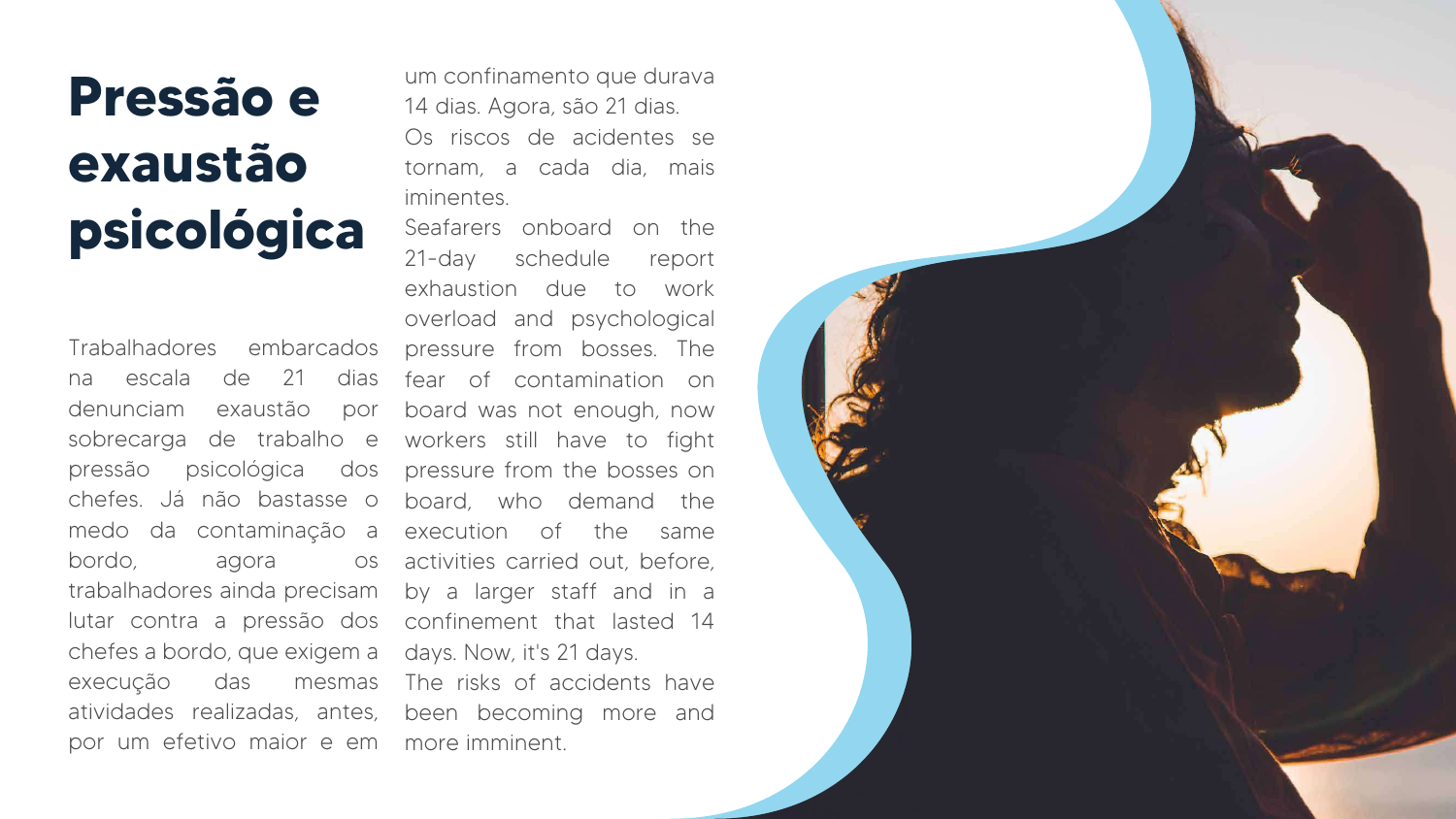um confinamento que durava 14 dias. Agora, são 21 dias. Os riscos de acidentes se tornam, a cada dia, mais iminentes.

Trabalhadores embarcados na escala de 21 dias denunciam exaustão por sobrecarga de trabalho e pressão psicológica chefes. Já não bastasse o medo da contaminação a bordo, agora os trabalhadores ainda precisam by a larger staff and in a lutar contra a pressão dos confinement that lasted 14 chefes a bordo, que exigem a days. Now, it's 21 days. execução das mesmas The risks of accidents have atividades realizadas, antes, been becoming more and por um efetivo maior e em more imminent.

Seafarers onboard on the 21-day schedule report exhaustion due to work overload and psychological pressure from bosses. The fear of contamination on board was not enough, now workers still have to fight dos pressure from the bosses on board, who demand the execution of the same activities carried out, before,



## **Pressão e exaustão psicológica**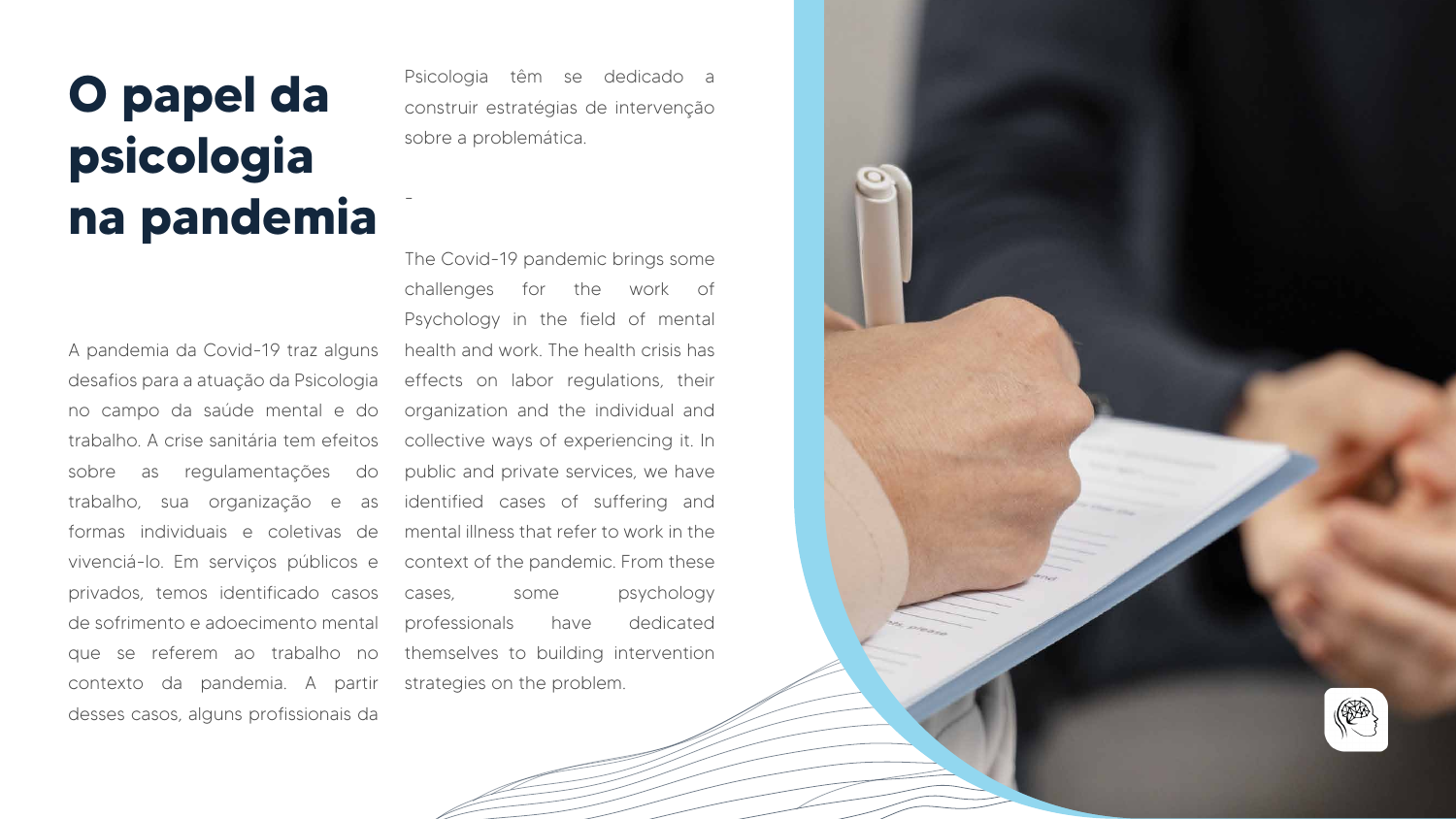A pandemia da Covid-19 traz alguns desafios para a atuação da Psicologia no campo da saúde mental e do trabalho. A crise sanitária tem efeitos sobre as regulamentações do trabalho, sua organização e as formas individuais e coletivas de vivenciá-lo. Em serviços públicos e privados, temos identificado casos de sofrimento e adoecimento mental que se referem ao trabalho no contexto da pandemia. A partir strategies on the problem. desses casos, alguns profissionais da

Psicologia têm se dedicado a construir estratégias de intervenção sobre a problemática.

-

The Covid-19 pandemic brings some challenges for the work of Psychology in the field of mental health and work. The health crisis has effects on labor regulations, their organization and the individual and collective ways of experiencing it. In public and private services, we have identified cases of suffering and mental illness that refer to work in the context of the pandemic. From these cases, some psychology professionals have dedicated themselves to building intervention



### **O papel da psicologia na pandemia**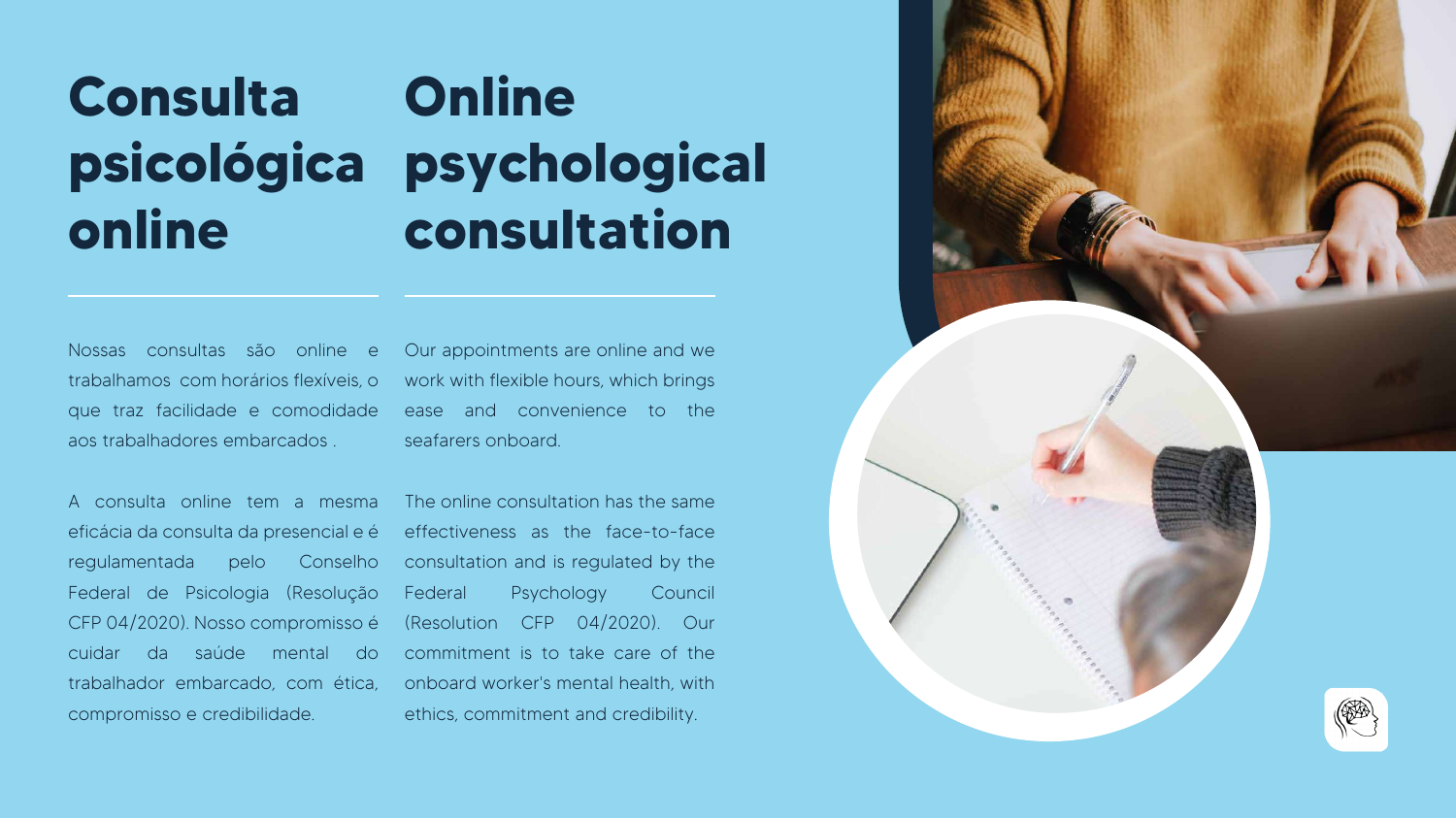Nossas consultas são online e trabalhamos com horários flexíveis, o que traz facilidade e comodidade aos trabalhadores embarcados .

### **Consulta psicológica online Online psychological consultation**

A consulta online tem a mesma eficácia da consulta da presencial e é regulamentada pelo Conselho Federal de Psicologia (Resolução CFP 04/2020). Nosso compromisso é cuidar da saúde mental do trabalhador embarcado, com ética, onboard worker's mental health, with compromisso e credibilidade.

Our appointments are online and we work with flexible hours, which brings ease and convenience to the seafarers onboard.

The online consultation has the same effectiveness as the face-to-face consultation and is regulated by the Federal Psychology Council (Resolution CFP 04/2020). Our commitment is to take care of the ethics, commitment and credibility.